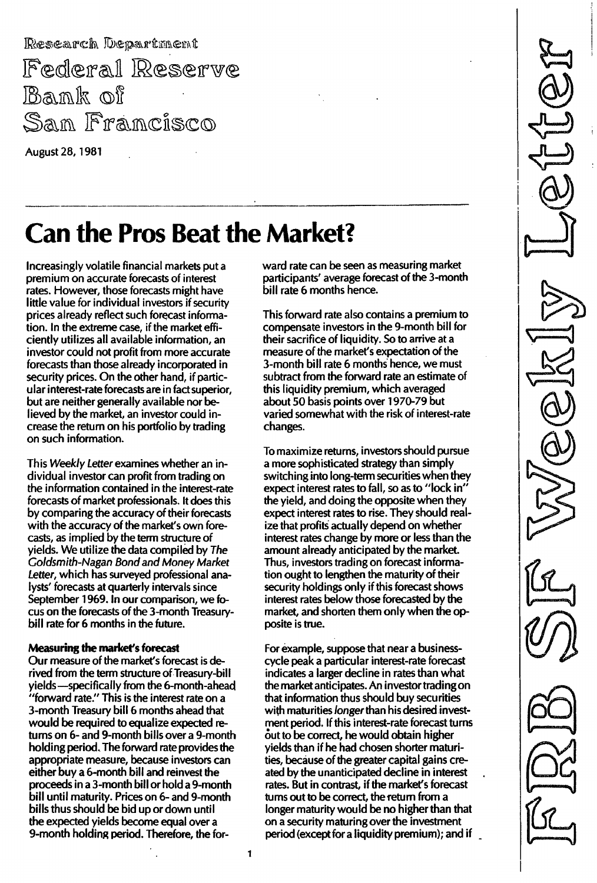Research Department Federal Reserve Bank of San Francisco

August 28, 1981

# Can the Pros Beat the Market?

Increasingly volatile financial markets put a premium on accurate forecasts of interest rates. However, those forecasts might have little value for individual investors if security prices already reflect such forecast information. In the extreme case, if the market efficiently utilizes all available information, an investor could not profit from more accurate forecasts than those already incorporated in security prices. On the other hand, if particular interest-rate forecasts are in fact superior, but are neither generally available nor believed by the market, an investor could increase the return on his portfolio by trading on such information.

This Weekly Letter examines whether an individual investor can profit from trading on the information contained in the interest-rate forecasts of market professionals. It does this by comparing the accuracy of their forecasts with the accuracy of the market's own forecasts, as implied by the term structure of yields. We utilize the data compiled by The Goldsmith-Nagan Bond and Money Market Letter, which has surveyed professional analysts' forecasts at quarterly intervals since September 1969. In our comparison, we focus on the forecasts of the 3-month Treasurybill rate for 6 months in the future.

#### Measuring the market's forecast

Our measure of the market's forecast is derived from the term structure of Treasury-bill yields-specifically from the 6-month-ahead "forward rate." This is the interest rate on a 3-month Treasury bill 6 months ahead that would be required to equalize expected returns on 6- and 9-month bills over a 9-month holding period. The forward rate provides the appropriate measure, because investors can either buy a 6-month bill and reinvest the proceeds in a 3-month bill or hold a 9-month bill until maturity. Prices on 6- and 9-month bills thus should be bid up or down until the expected yields become equal over a 9-month holding period. Therefore, the forward rate can be seen as measuring market participants' average forecast of the 3-month bill rate 6 months hence.

This forward rate also contains a premium to compensate investors in the 9-month bill for their sacrifice of liquidity. So to arrive at a measure of the market's expectation of the 3-month bill rate 6 months hence, we must subtract from the forward rate an estimate of this liquidity premium, which averaged about 50 basis points over 1970-79 but varied somewhat with the risk of interest-rate changes.

To maximize returns, investors should pursue a more sophisticated strategy than simply switching into long-term securities when they expect interest rates to fall, so as to "lock in" the yield, and doing the opposite when they expect interest rates to rise. They should realize that profits actually depend on whether interest rates change by more or less than the amount already anticipated by the market. Thus, investors trading on forecast information ought to lengthen the maturity of their security holdings only if this forecast shows interest rates below those forecasted by the market, and shorten them only when the opposite is true.

For example, suppose that near a businesscycle peak a particular interest-rate forecast indicates a larger decline in rates than what the market anticipates. An investor trading on that information thus should buy securities with maturities longer than his desired investment period. If this interest-rate forecast turns out to be correct, he would obtain higher yields than if he had chosen shorter maturities, because of the greater capital gains created by the unanticipated decline in interest rates. But in contrast, if the market's forecast turns out to be correct, the return from a longer maturity would be no higher than that on a security maturing over the investment period (except for a liquidity premium); and if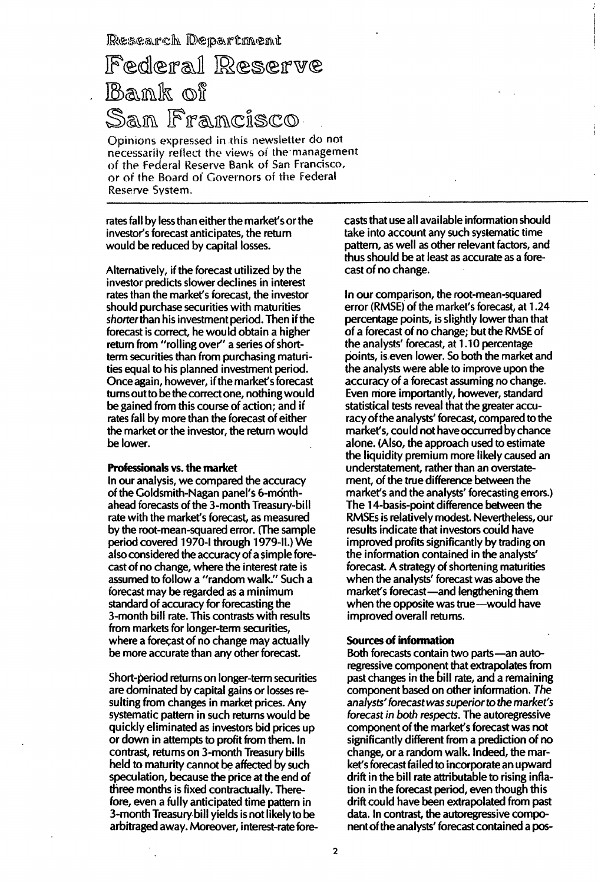Research Department

## Federal Reserve **Bank** of San Francisco

Opinions expressed in this newsletter do not necessarily reflect the views of the management of the Federal Reserve Bank of San Francisco, or of the Board of Governors of the Federal Reserve Svstem.

rates fall by less than either the market's or the investor's forecast anticipates, the return would be reduced by capital losses.

Alternatively, if the forecast utilized by the investor predicts slower declines in interest rates than the market's forecast, the investor should purchase securities with maturities shorter than his investment period. Then if the forecast is correct, he would obtain a higher return from "rolling over" a series of shortterm securities than from purchasing maturities equal to his planned investment period. Once again, however, if the market's forecast turns out to be the correct one, nothing would be gained from this course of action; and if rates fall by more than the forecast of either the market or the investor, the return would be lower.

#### Professionals vs. the market

In our analysis, we compared the accuracy of the Goldsmith-Nagan panel's 6-monthahead forecasts of the 3-month Treasury-bill rate with the market's forecast, as measured by the root-mean-squared error. (The sample period covered 1970-1 through 1979-11.) We also considered the accuracy of a simple forecast of no change, where the interest rate is assumed to follow a "random walk." Such a forecast may be regarded as a minimum standard of accuracy for forecasting the 3-month bill rate. This contrasts with results from markets for longer-term securities, where a forecast of no change may actually be more accurate than any other forecast.

Short-period returns on longer-term securities are dominated by capital gains or losses resulting from changes in market prices. Any systematic pattern in such returns would be quickly eliminated as investors bid prices up or down in attempts to profit from them. In contrast, returns on 3-month Treasury bills held to maturity cannot be affected by such speculation, because the price at the end of three months is fixed contractually. Therefore, even a fully anticipated time pattern in 3-month Treasury bill yields is not likely to be arbitraged away. Moreover, interest-rate forecasts that use all available information should take into account any such systematic time pattern, as well as other relevant factors, and thus should be at least as accurate as a forecast of no change.

In our comparison, the root-mean-squared error (RMSE) of the market's forecast, at 1 .24 percentage points, is slightly lower than that of a forecast of no change; but the RMSE of the analysts' forecast, at 1 .1 0 percentage points, is.even lower. So both the market and the analysts were able to improve upon the accuracy of a forecast assuming no change. Even more importantly, however, standard statistical tests reveal that the greater accuracy of the analysts' forecast, compared to the market's, could not have occurred by chance alone. (Also, the approach used to estimate the liquidity premium more likely caused an understatement, rather than an overstatement, of the true difference between the market's and the analysts' forecasting errors.) The 14-basis-point difference between the RMSEs is relatively modest. Nevertheless, our results indicate that investors could have improved profits significantly by trading on the information contained in the analysts' forecast. A strategy of shortening maturities when the analysts' forecast was above the market's forecast-and lengthening them when the opposite was true-would have improved overall returns.

#### Sources of information

Both forecasts contain two parts-an autoregressive component that extrapolates from past changes in the bill rate, and a remaining component based on other information. The analysts' forecastwas superior to the market's forecast in both respects.The autoregressive component of the market's forecast was not significantly different from a prediction of no change, or a random walk. Indeed, the market's forecast failed to incorporate an upward drift in the bill rate attributable to rising inflation in the forecast period, even though this drift could have been extrapolated from past data. In contrast, the autoregressive component of the analysts' forecast contained a pos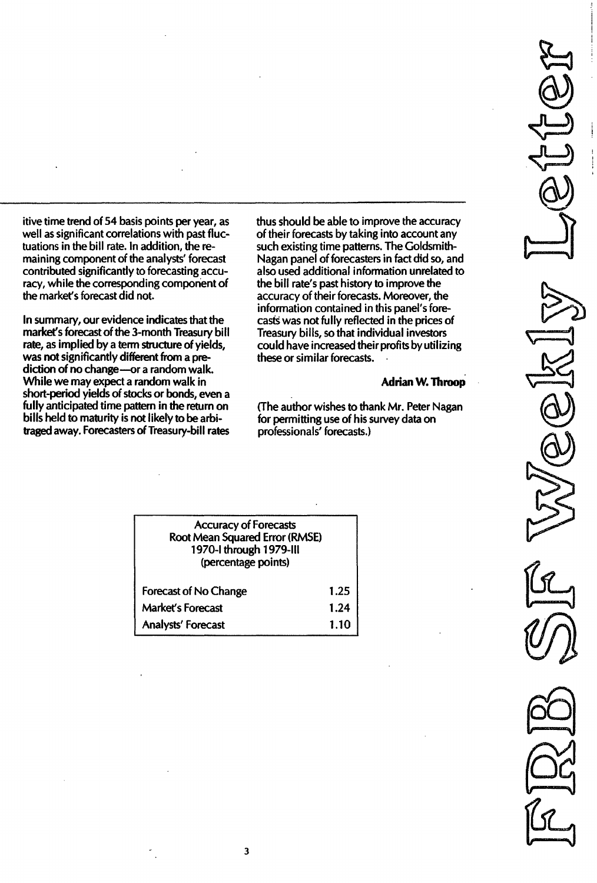itive time trend of 54 basis points per year, as well as significant correlations with past fluctuations in the bill rate. In addition, the remaining component of the analysts' forecast contributed significantly to forecasting accuracy, while the corresponding component of the market's forecast did not.

In summary, our evidence indicates that the market's forecast of the 3-month Treasury bill rate, as implied by a term structure of yields, was not significantly different from a prediction of no change-or a random walk. While we may expect a random walk in short-period yields of stocks or bonds, even a fully anticipated time pattern in the return on bills held to maturity is not likely to be arbitraged away. Forecasters of Treasury-bill rates

thus should be able to improve the accuracy of their forecasts by taking into account any such existing time patterns. The Goldsmith-Nagan panel of forecasters in fact did so, and also used additional information unrelated to the bill rate's past history to improve the accuracy of their forecasts. Moreover, the information contained in this panel's forecasts was not fully reflected in the prices of Treasury bills, so that individual investors could have increased their profits by utilizing these or similar forecasts.

#### Adrian W. Throop

(The author wishes to thank Mr. Peter Nagan for permitting use of his survey data on professionals' forecasts.)

| <b>Accuracy of Forecasts</b><br>Root Mean Squared Error (RMSE)<br>1970-1 through 1979-III<br>(percentage points) |      |
|------------------------------------------------------------------------------------------------------------------|------|
| <b>Forecast of No Change</b>                                                                                     | 1.25 |
| <b>Market's Forecast</b>                                                                                         | 1.24 |
| Analysts' Forecast                                                                                               | 1.10 |